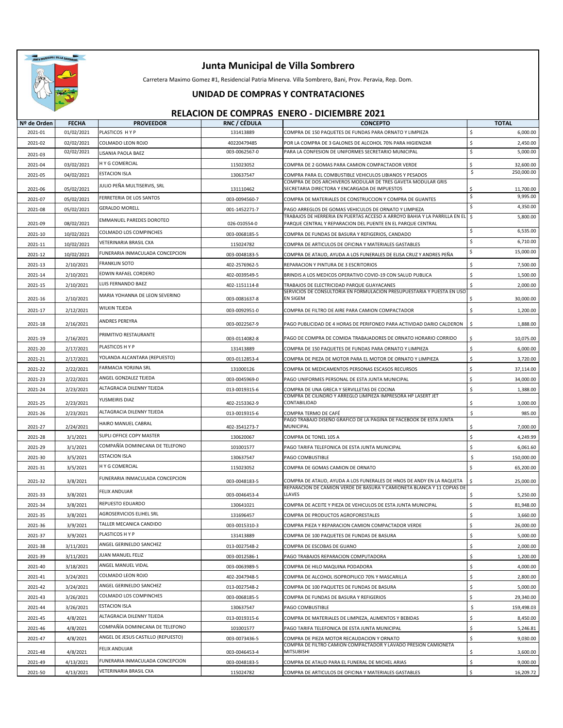

Carretera Maximo Gomez #1, Residencial Patria Minerva. Villa Sombrero, Bani, Prov. Peravia, Rep. Dom.

#### **UNIDAD DE COMPRAS Y CONTRATACIONES**

| Nº de Orden | <b>FECHA</b> | <b>PROVEEDOR</b>                   | RNC / CÉDULA  | <b>CONCEPTO</b>                                                                                                                       | <b>TOTAL</b>                      |
|-------------|--------------|------------------------------------|---------------|---------------------------------------------------------------------------------------------------------------------------------------|-----------------------------------|
| 2021-01     | 01/02/2021   | PLASTICOS HYP                      | 131413889     | COMPRA DE 150 PAQUETES DE FUNDAS PARA ORNATO Y LIMPIEZA                                                                               | \$<br>6,000.00                    |
| 2021-02     | 02/02/2021   | COLMADO LEON ROJO                  | 40220479485   | POR LA COMPRA DE 3 GALONES DE ALCOHOL 70% PARA HIGIENIZAR                                                                             | \$<br>2,450.00                    |
| 2021-03     | 02/02/2021   | LISANIA PAOLA BAEZ                 | 003-0062567-0 | PARA LA CONFESION DE UNIFORMES SECRETARIO MUNICIPAL                                                                                   | \$<br>5,000.00                    |
| 2021-04     | 03/02/2021   | H Y G COMERCIAL                    | 115023052     | COMPRA DE 2 GOMAS PARA CAMION COMPACTADOR VERDE                                                                                       | Ś<br>32,600.00                    |
| 2021-05     | 04/02/2021   | <b>ESTACION ISLA</b>               | 130637547     | COMPRA PARA EL COMBUSTIBLE VEHICULOS LIBIANOS Y PESADOS                                                                               | 250,000.00<br>\$                  |
|             |              | JULIO PEÑA MULTISERVIS, SRL        |               | COMPRA DE DOS ARCHIVEROS MODULAR DE TRES GAVETA MODULAR GRIS                                                                          |                                   |
| 2021-06     | 05/02/2021   | FERRETERIA DE LOS SANTOS           | 131110462     | SECRETARIA DIRECTORA Y ENCARGADA DE IMPUESTOS                                                                                         | Ś<br>11,700.00<br>\$<br>9,995.00  |
| 2021-07     | 05/02/2021   | <b>GERALDO MORELL</b>              | 003-0094560-7 | COMPRA DE MATERIALES DE CONSTRUCCION Y COMPRA DE GUANTES                                                                              | \$<br>4,350.00                    |
| 2021-08     | 05/02/2021   |                                    | 001-1452271-7 | PAGO ARREGLOS DE GOMAS VEHICULOS DE ORNATO Y LIMPIEZA<br>TRABAJOS DE HERRERIA EN PUERTAS ACCESO A ARROYO BAHIA Y LA PARRILLA EN EL \$ | 5,800.00                          |
| 2021-09     | 08/02/2021   | <b>EMMANUEL PAREDES DOROTEO</b>    | 026-010554-0  | PARQUE CENTRAL Y REPARACION DEL PUENTE EN EL PARQUE CENTRAL                                                                           |                                   |
| 2021-10     | 10/02/2021   | COLMADO LOS COMPINCHES             | 003-0068185-5 | COMPRA DE FUNDAS DE BASURA Y REFIGERIOS, CANDADO                                                                                      | \$<br>6,535.00                    |
| 2021-11     | 10/02/2021   | VETERINARIA BRASIL CXA             | 115024782     | COMPRA DE ARTICULOS DE OFICINA Y MATERIALES GASTABLES                                                                                 | 6,710.00<br>\$                    |
| 2021-12     | 10/02/2021   | FUNERARIA INMACULADA CONCEPCION    | 003-0048183-5 | COMPRA DE ATAUD, AYUDA A LOS FUNERALES DE ELISA CRUZ Y ANDRES PEÑA                                                                    | \$<br>15,000.00                   |
| 2021-13     | 2/10/2021    | <b>FRANKLIN SOTO</b>               | 402-2576962-5 | REPARACION Y PINTURA DE 3 ESCRITORIOS                                                                                                 | \$<br>7,500.00                    |
| 2021-14     | 2/10/2021    | EDWIN RAFAEL CORDERO               | 402-0039549-5 | BRINDIS A LOS MEDICOS OPERATIVO COVID-19 CON SALUD PUBLICA                                                                            | \$<br>1,500.00                    |
| 2021-15     | 2/10/2021    | LUIS FERNANDO BAEZ                 | 402-1151114-8 | TRABAJOS DE ELECTRICIDAD PARQUE GUAYACANES                                                                                            | $\breve{\phantom{a}}$<br>2,000.00 |
| 2021-16     | 2/10/2021    | MARIA YOHANNA DE LEON SEVERINO     | 003-0081637-8 | SERVICIOS DE CONSULTORIA EN FORMULACION PRESUPUESTARIA Y PUESTA EN USO<br><b>EN SIGEM</b>                                             | 30,000.00<br>\$                   |
|             |              | WILKIN TEJEDA                      |               |                                                                                                                                       |                                   |
| 2021-17     | 2/12/2021    |                                    | 003-0092951-0 | COMPRA DE FILTRO DE AIRE PARA CAMION COMPACTADOR                                                                                      | 1,200.00<br>\$                    |
| 2021-18     | 2/16/2021    | ANDRES PEREYRA                     | 003-0022567-9 | PAGO PUBLICIDAD DE 4 HORAS DE PERIFONEO PARA ACTIVIDAD DARIO CALDERON                                                                 | \$<br>1,888.00                    |
| 2021-19     | 2/16/2021    | PRIMITIVO RESTAURANTE              | 003-0114082-8 | PAGO DE COMPRA DE COMIDA TRABAJADORES DE ORNATO HORARIO CORRIDO                                                                       | 10,075.00                         |
| 2021-20     | 2/17/2021    | PLASTICOS H Y P                    | 131413889     | COMPRA DE 150 PAQUETES DE FUNDAS PARA ORNATO Y LIMPIEZA                                                                               | \$<br>6,000.00                    |
| 2021-21     | 2/17/2021    | YOLANDA ALCANTARA (REPUESTO)       | 003-0112853-4 | COMPRA DE PIEZA DE MOTOR PARA EL MOTOR DE ORNATO Y LIMPIEZA                                                                           | Ś<br>3,720.00                     |
| 2021-22     | 2/22/2021    | FARMACIA YORJINA SRL               | 131000126     | COMPRA DE MEDICAMENTOS PERSONAS ESCASOS RECURSOS                                                                                      | \$<br>37,114.00                   |
| 2021-23     | 2/22/2021    | ANGEL GONZALEZ TEJEDA              | 003-0045969-0 | PAGO UNIFORMES PERSONAL DE ESTA JUNTA MUNICIPAL                                                                                       | \$<br>34,000.00                   |
| 2021-24     | 2/23/2021    | ALTAGRACIA DILENNY TEJEDA          | 013-0019315-6 | COMPRA DE UNA GRECA Y SERVILLETAS DE COCINA                                                                                           | \$<br>1,388.00                    |
|             |              | YUSMEIRIS DIAZ                     |               | COMPRA DE CILINDRO Y ARREGLO LIMPIEZA IMPRESORA HP LASERT JET                                                                         |                                   |
| 2021-25     | 2/23/2021    | ALTAGRACIA DILENNY TEJEDA          | 402-2153362-9 | CONTABILIDAD                                                                                                                          | 3,000.00<br>\$                    |
| 2021-26     | 2/23/2021    |                                    | 013-0019315-6 | COMPRA TERMO DE CAFÉ<br>PAGO TRABAJO DISEÑO GRAFICO DE LA PAGINA DE FACEBOOK DE ESTA JUNTA                                            | \$<br>985.00                      |
| 2021-27     | 2/24/2021    | HAIRO MANUEL CABRAL                | 402-3541273-7 | MUNICIPAL                                                                                                                             | Ś<br>7,000.00                     |
| 2021-28     | 3/1/2021     | SUPLI OFFICE COPY MASTER           | 130620067     | COMPRA DE TONEL 105 A                                                                                                                 | \$<br>4,249.99                    |
| 2021-29     | 3/1/2021     | COMPAÑÍA DOMINICANA DE TELEFONO    | 101001577     | PAGO TARIFA TELEFONICA DE ESTA JUNTA MUNICIPAL                                                                                        | \$<br>6,061.60                    |
| 2021-30     | 3/5/2021     | <b>ESTACION ISLA</b>               | 130637547     | PAGO COMBUSTIBLE                                                                                                                      | \$<br>150,000.00                  |
| 2021-31     | 3/5/2021     | H Y G COMERCIAL                    | 115023052     | COMPRA DE GOMAS CAMION DE ORNATO                                                                                                      | \$<br>65,200.00                   |
| 2021-32     | 3/8/2021     | FUNERARIA INMACULADA CONCEPCION    | 003-0048183-5 | COMPRA DE ATAUD, AYUDA A LOS FUNERALES DE HNOS DE ANDY EN LA RAQUETA                                                                  | \$<br>25,000.00                   |
|             |              | <b>FELIX ANDUJAR</b>               |               | REPARACION DE CAMION VERDE DE BASURA Y CAMIONETA BLANCA Y 11 COPIAS DE                                                                |                                   |
| 2021-33     | 3/8/2021     | REPUESTO EDUARDO                   | 003-0046453-4 | LLAVES                                                                                                                                | 5,250.00<br>Ŝ.                    |
| 2021-34     | 3/8/2021     | AGROSERVICIOS ELIHEL SRL           | 130641021     | COMPRA DE ACEITE Y PIEZA DE VEHICULOS DE ESTA JUNTA MUNICIPAL                                                                         | Ś<br>81,948.00                    |
| 2021-35     | 3/8/2021     | TALLER MECANICA CANDIDO            | 131696457     | COMPRA DE PRODUCTOS AGROFORESTALES                                                                                                    | Ś<br>3,660.00                     |
| 2021-36     | 3/9/2021     |                                    | 003-0015310-3 | COMPRA PIEZA Y REPARACION CAMION COMPACTADOR VERDE                                                                                    | Ś<br>26,000.00                    |
| 2021-37     | 3/9/2021     | PLASTICOS H Y P                    | 131413889     | COMPRA DE 100 PAQUETES DE FUNDAS DE BASURA                                                                                            | \$<br>5,000.00                    |
| 2021-38     | 3/11/2021    | ANGEL GERINELDO SANCHEZ            | 013-0027548-2 | COMPRA DE ESCOBAS DE GUANO                                                                                                            | Ś<br>2,000.00                     |
| 2021-39     | 3/11/2021    | JUAN MANUEL FELIZ                  | 003-0012586-1 | PAGO TRABAJOS REPARACION COMPUTADORA                                                                                                  | \$<br>1,200.00                    |
| 2021-40     | 3/18/2021    | ANGEL MANUEL VIDAL                 | 003-0063989-5 | COMPRA DE HILO MAQUINA PODADORA                                                                                                       | \$<br>4,000.00                    |
| 2021-41     | 3/24/2021    | COLMADO LEON ROJO                  | 402-2047948-5 | COMPRA DE ALCOHOL ISOPROPILICO 70% Y MASCARILLA                                                                                       | Ś<br>2,800.00                     |
| 2021-42     | 3/24/2021    | ANGEL GERINELDO SANCHEZ            | 013-0027548-2 | COMPRA DE 100 PAQUETES DE FUNDAS DE BASURA                                                                                            | Ś<br>5,000.00                     |
| 2021-43     | 3/26/2021    | COLMADO LOS COMPINCHES             | 003-0068185-5 | COMPRA DE FUNDAS DE BASURA Y REFIGERIOS                                                                                               | \$<br>29,340.00                   |
| 2021-44     | 3/26/2021    | <b>ESTACION ISLA</b>               | 130637547     | PAGO COMBUSTIBLE                                                                                                                      | \$<br>159,498.03                  |
| 2021-45     | 4/8/2021     | ALTAGRACIA DILENNY TEJEDA          | 013-0019315-6 | COMPRA DE MATERIALES DE LIMPIEZA, ALIMENTOS Y BEBIDAS                                                                                 | \$<br>8,450.00                    |
| 2021-46     | 4/8/2021     | COMPAÑÍA DOMINICANA DE TELEFONO    | 101001577     | PAGO TARIFA TELEFONICA DE ESTA JUNTA MUNICIPAL                                                                                        | Ś<br>5,246.81                     |
| 2021-47     | 4/8/2021     | ANGEL DE JESUS CASTILLO (REPUESTO) | 003-0073436-5 | COMPRA DE PIEZA MOTOR RECAUDACION Y ORNATO<br>COMPRA DE FILTRO CAMION COMPACTADOR Y LAVADO PRESION CAMIONETA                          | Ś<br>9,030.00                     |
| 2021-48     | 4/8/2021     | FELIX ANDUJAR                      | 003-0046453-4 | <b>MITSUBISHI</b>                                                                                                                     | 3,600.00<br>Ŝ                     |
| 2021-49     | 4/13/2021    | FUNERARIA INMACULADA CONCEPCION    | 003-0048183-5 | COMPRA DE ATAUD PARA EL FUNERAL DE MICHEL ARIAS                                                                                       | \$<br>9,000.00                    |
| 2021-50     | 4/13/2021    | VETERINARIA BRASIL CXA             | 115024782     | COMPRA DE ARTICULOS DE OFICINA Y MATERIALES GASTABLES                                                                                 | \$<br>16,209.72                   |
|             |              |                                    |               |                                                                                                                                       |                                   |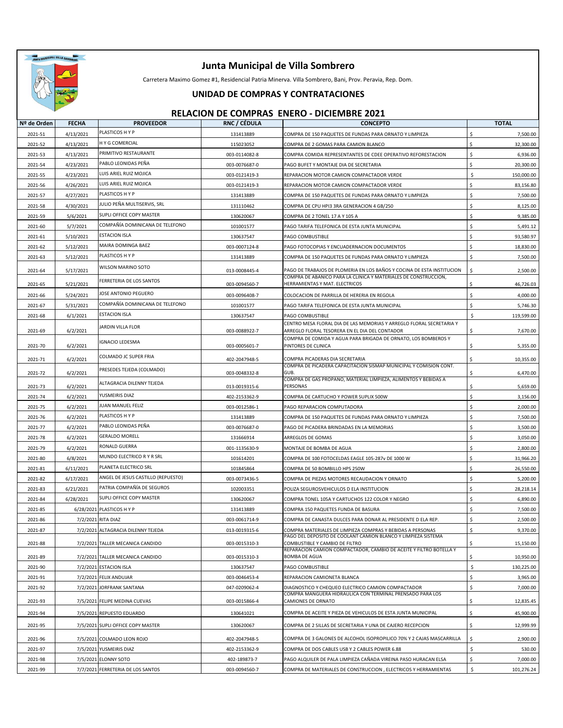

Carretera Maximo Gomez #1, Residencial Patria Minerva. Villa Sombrero, Bani, Prov. Peravia, Rep. Dom.

#### **UNIDAD DE COMPRAS Y CONTRATACIONES**

| Nº de Orden | <b>FECHA</b> | <b>PROVEEDOR</b>                   | RNC / CÉDULA  | <b>CONCEPTO</b>                                                                                      | <b>TOTAL</b>     |
|-------------|--------------|------------------------------------|---------------|------------------------------------------------------------------------------------------------------|------------------|
| 2021-51     | 4/13/2021    | PLASTICOS H Y P                    | 131413889     | COMPRA DE 150 PAQUETES DE FUNDAS PARA ORNATO Y LIMPIEZA                                              | \$<br>7,500.00   |
| 2021-52     | 4/13/2021    | <b>HY G COMERCIAL</b>              | 115023052     | COMPRA DE 2 GOMAS PARA CAMION BLANCO                                                                 | 32,300.00        |
| 2021-53     | 4/13/2021    | PRIMITIVO RESTAURANTE              | 003-0114082-8 | COMPRA COMIDA REPRESENTANTES DE CDEE OPERATIVO REFORESTACION                                         | \$<br>6,936.00   |
| 2021-54     | 4/23/2021    | PABLO LEONIDAS PEÑA                | 003-0076687-0 | PAGO BUFET Y MONTAJE DIA DE SECRETARIA                                                               | Ś<br>20,300.00   |
| 2021-55     | 4/23/2021    | LUIS ARIEL RUIZ MOJICA             | 003-0121419-3 | REPARACION MOTOR CAMION COMPACTADOR VERDE                                                            | \$<br>150,000.00 |
| 2021-56     | 4/26/2021    | LUIS ARIEL RUIZ MOJICA             | 003-0121419-3 | REPARACION MOTOR CAMION COMPACTADOR VERDE                                                            | 83,156.80        |
| 2021-57     | 4/27/2021    | PLASTICOS H Y P                    | 131413889     | COMPRA DE 150 PAQUETES DE FUNDAS PARA ORNATO Y LIMPIEZA                                              | Ś<br>7,500.00    |
| 2021-58     | 4/30/2021    | JULIO PEÑA MULTISERVIS, SRL        | 131110462     | COMPRA DE CPU HPI3 3RA GENERACION 4 GB/250                                                           | Ŝ.<br>8,125.00   |
| 2021-59     | 5/6/2021     | SUPLI OFFICE COPY MASTER           | 130620067     | COMPRA DE 2 TONEL 17 A Y 105 A                                                                       | \$<br>9,385.00   |
| 2021-60     | 5/7/2021     | COMPAÑÍA DOMINICANA DE TELEFONO    | 101001577     | PAGO TARIFA TELEFONICA DE ESTA JUNTA MUNICIPAL                                                       | \$<br>5,491.12   |
| 2021-61     | 5/10/2021    | <b>ESTACION ISLA</b>               | 130637547     | PAGO COMBUSTIBLE                                                                                     | 93,580.97        |
| 2021-62     | 5/12/2021    | MAIRA DOMINGA BAEZ                 | 003-0007124-8 | PAGO FOTOCOPIAS Y ENCUADERNACION DOCUMENTOS                                                          | Ś.<br>18,830.00  |
| 2021-63     | 5/12/2021    | PLASTICOS H Y P                    | 131413889     | COMPRA DE 150 PAQUETES DE FUNDAS PARA ORNATO Y LIMPIEZA                                              | Ś<br>7,500.00    |
| 2021-64     | 5/17/2021    | WILSON MARINO SOTO                 | 013-0008445-4 | PAGO DE TRABAJOS DE PLOMERIA EN LOS BAÑOS Y COCINA DE ESTA INSTITUCION                               | \$<br>2,500.00   |
| 2021-65     | 5/21/2021    | FERRETERIA DE LOS SANTOS           | 003-0094560-7 | COMPRA DE ABANICO PARA LA CLINICA Y MATERIALES DE CONSTRUCCION,<br>HERRAMIENTAS Y MAT. ELECTRICOS    | 46,726.03        |
| 2021-66     | 5/24/2021    | JOSE ANTONIO PEGUERO               | 003-0096408-7 | COLOCACION DE PARRILLA DE HERERIA EN REGOLA                                                          | \$<br>4,000.00   |
| 2021-67     | 5/31/2021    | COMPAÑÍA DOMINICANA DE TELEFONO    | 101001577     |                                                                                                      | \$<br>5,746.30   |
|             |              | <b>ESTACION ISLA</b>               | 130637547     | PAGO TARIFA TELEFONICA DE ESTA JUNTA MUNICIPAL                                                       | \$               |
| 2021-68     | 6/1/2021     |                                    |               | PAGO COMBUSTIBLE<br>CENTRO MESA FLORAL DIA DE LAS MEMORIAS Y ARREGLO FLORAL SECRETARIA Y             | 119,599.00       |
| 2021-69     | 6/2/2021     | JARDIN VILLA FLOR                  | 003-0088922-7 | ARREGLO FLORAL TESORERA EN EL DIA DEL CONTADOR                                                       | Ś<br>7,670.00    |
| 2021-70     | 6/2/2021     | <b>IGNACIO LEDESMA</b>             | 003-0005601-7 | COMPRA DE COMIDA Y AGUA PARA BRIGADA DE ORNATO, LOS BOMBEROS Y<br>PINTORES DE CLINICA                | 5,355.00<br>\$   |
|             |              | COLMADO JC SUPER FRIA              |               |                                                                                                      |                  |
| 2021-71     | 6/2/2021     |                                    | 402-2047948-5 | COMPRA PICADERAS DIA SECRETARIA<br>COMPRA DE PICADERA CAPACITACION SISMAP MUNICIPAL Y COMISION CONT. | 10,355.00        |
| 2021-72     | 6/2/2021     | PRESEDES TEJEDA (COLMADO)          | 003-0048332-8 | GUB                                                                                                  | Ś<br>6,470.00    |
| 2021-73     | 6/2/2021     | ALTAGRACIA DILENNY TEJEDA          | 013-0019315-6 | COMPRA DE GAS PROPANO, MATERIAL LIMPIEZA, ALIMENTOS Y BEBIDAS A<br>PERSONAS                          | \$<br>5,659.00   |
| 2021-74     | 6/2/2021     | YUSMEIRIS DIAZ                     | 402-2153362-9 | COMPRA DE CARTUCHO Y POWER SUPLIX 500W                                                               | \$<br>3,156.00   |
| 2021-75     | 6/2/2021     | JUAN MANUEL FELIZ                  | 003-0012586-1 | PAGO REPARACION COMPUTADORA                                                                          | Ŝ.<br>2,000.00   |
| 2021-76     | 6/2/2021     | PLASTICOS H Y P                    | 131413889     | COMPRA DE 150 PAQUETES DE FUNDAS PARA ORNATO Y LIMPIEZA                                              | 7,500.00         |
| 2021-77     | 6/2/2021     | PABLO LEONIDAS PEÑA                | 003-0076687-0 | PAGO DE PICADERA BRINDADAS EN LA MEMORIAS                                                            | Ś<br>3,500.00    |
| 2021-78     | 6/2/2021     | <b>GERALDO MORELL</b>              | 131666914     | ARREGLOS DE GOMAS                                                                                    | Ś<br>3,050.00    |
| 2021-79     | 6/2/2021     | RONALD GUERRA                      | 001-1135630-9 | MONTAJE DE BOMBA DE AGUA                                                                             | \$<br>2,800.00   |
| 2021-80     | 6/8/2021     | MUNDO ELECTRICO R Y R SRL          | 101614201     | COMPRA DE 100 FOTOCELDAS EAGLE 105-287v DE 1000 W                                                    | 31,966.20        |
| 2021-81     | 6/11/2021    | PLANETA ELECTRICO SRL              | 101845864     | COMPRA DE 50 BOMBILLO HPS 250W                                                                       | Ś<br>26,550.00   |
| 2021-82     | 6/17/2021    | ANGEL DE JESUS CASTILLO (REPUESTO) | 003-0073436-5 | COMPRA DE PIEZAS MOTORES RECAUDACION Y ORNATO                                                        | \$<br>5,200.00   |
| 2021-83     | 6/21/2021    | PATRIA COMPAÑÍA DE SEGUROS         | 102003351     | POLIZA SEGUROSVEHICULOS D ELA INSTITUCION                                                            | Ś<br>28,218.14   |
| 2021-84     | 6/28/2021    | SUPLI OFFICE COPY MASTER           | 130620067     | COMPRA TONEL 105A Y CARTUCHOS 122 COLOR Y NEGRO                                                      | 6,890.00         |
| 2021-85     |              | 6/28/2021 PLASTICOS H Y P          | 131413889     | COMPRA 150 PAQUETES FUNDA DE BASURA                                                                  | 7,500.00         |
| 2021-86     |              | 7/2/2021 RITA DIAZ                 | 003-0061714-9 | COMPRA DE CANASTA DULCES PARA DONAR AL PRESIDENTE D ELA REP.                                         | \$<br>2,500.00   |
| 2021-87     |              | 7/2/2021 ALTAGRACIA DILENNY TEJEDA | 013-0019315-6 | COMPRA MATERIALES DE LIMPIEZA COMPRAS Y BEBIDAS A PERSONAS                                           | Ś<br>9,370.00    |
| 2021-88     |              | 7/2/2021 TALLER MECANICA CANDIDO   | 003-0015310-3 | PAGO DEL DEPOSITO DE COOLANT CAMION BLANCO Y LIMPIEZA SISTEMA<br>COMBUSTIBLE Y CAMBIO DE FILTRO      | Ś<br>15,150.00   |
| 2021-89     |              | 7/2/2021 TALLER MECANICA CANDIDO   | 003-0015310-3 | REPARACION CAMION COMPACTADOR, CAMBIO DE ACEITE Y FILTRO BOTELLA Y<br><b>BOMBA DE AGUA</b>           | \$<br>10,950.00  |
| 2021-90     |              | 7/2/2021 ESTACION ISLA             | 130637547     | PAGO COMBUSTIBLE                                                                                     | \$<br>130,225.00 |
| 2021-91     |              | 7/2/2021 FELIX ANDUJAR             | 003-0046453-4 | REPARACION CAMIONETA BLANCA                                                                          | \$<br>3,965.00   |
| 2021-92     |              | 7/2/2021 JORFRANK SANTANA          | 047-0209062-4 | DIAGNOSTICO Y CHEQUEO ELECTRICO CAMION COMPACTADOR                                                   | \$<br>7,000.00   |
| 2021-93     |              | 7/5/2021 FELIPE MEDINA CUEVAS      | 003-0015866-4 | COMPRA MANGUERA HIDRAULICA CON TERMINAL PRENSADO PARA LOS<br><b>CAMIONES DE ORNATO</b>               | \$<br>12,835.45  |
| 2021-94     |              | 7/5/2021 REPUESTO EDUARDO          | 130641021     | COMPRA DE ACEITE Y PIEZA DE VEHICULOS DE ESTA JUNTA MUNICIPAL                                        | \$<br>45,900.00  |
| 2021-95     |              | 7/5/2021 SUPLI OFFICE COPY MASTER  | 130620067     | COMPRA DE 2 SILLAS DE SECRETARIA Y UNA DE CAJERO RECEPCION                                           | \$<br>12,999.99  |
|             |              |                                    |               |                                                                                                      |                  |
| 2021-96     |              | 7/5/2021 COLMADO LEON ROJO         | 402-2047948-5 | COMPRA DE 3 GALONES DE ALCOHOL ISOPROPILICO 70% Y 2 CAJAS MASCARRILLA                                | \$<br>2,900.00   |
| 2021-97     |              | 7/5/2021 YUSMEIRIS DIAZ            | 402-2153362-9 | COMPRA DE DOS CABLES USB Y 2 CABLES POWER 6.88                                                       | \$<br>530.00     |
| 2021-98     |              | 7/5/2021 ELONNY SOTO               | 402-189873-7  | PAGO ALQUILER DE PALA LIMPIEZA CAÑADA VIREINA PASO HURACAN ELSA                                      | \$<br>7,000.00   |
| 2021-99     |              | 7/7/2021 FERRETERIA DE LOS SANTOS  | 003-0094560-7 | COMPRA DE MATERIALES DE CONSTRUCCION, ELECTRICOS Y HERRAMIENTAS                                      | \$<br>101,276.24 |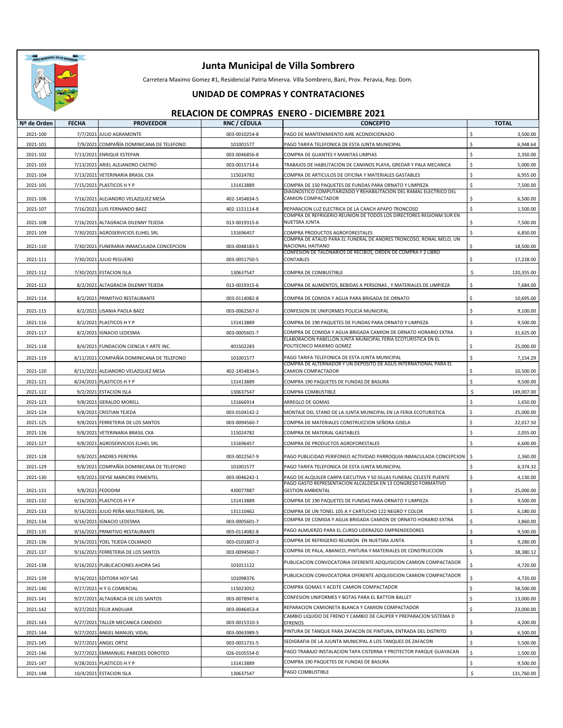

Carretera Maximo Gomez #1, Residencial Patria Minerva. Villa Sombrero, Bani, Prov. Peravia, Rep. Dom.

### **UNIDAD DE COMPRAS Y CONTRATACIONES**

| Nº de Orden          | <b>FECHA</b> | <b>PROVEEDOR</b>                                     | RNC / CÉDULA  | <b>CONCEPTO</b>                                                                                                         | <b>TOTAL</b>                    |
|----------------------|--------------|------------------------------------------------------|---------------|-------------------------------------------------------------------------------------------------------------------------|---------------------------------|
| 2021-100             |              | 7/7/2021 JULIO AGRAMONTE                             | 003-0010254-8 | PAGO DE MANTENIMIENTO AIRE ACONDICIONADO                                                                                | $\ddot{s}$<br>3,500.00          |
| 2021-101             |              | 7/9/2021 COMPAÑÍA DOMINICANA DE TELEFONO             | 101001577     | PAGO TARIFA TELEFONICA DE ESTA JUNTA MUNICIPAL                                                                          | Ś<br>6,948.64                   |
| 2021-102             |              | 7/13/2021 ENRIQUE ESTEPAN                            | 003-0046856-8 | COMPRA DE GUANTES Y MANITAS LIMPIAS                                                                                     | Ś<br>2,350.00                   |
| 2021-103             |              | 7/13/2021 ARIEL ALEJANDRO CASTRO                     | 003-0015714-6 | TRABAJOS DE HABILITACION DE CAMINOS PLAYA, GREDAR Y PALA MECANICA                                                       | \$<br>5,000.00                  |
| 2021-104             |              | 7/13/2021 VETERINARIA BRASIL CXA                     | 115024782     | COMPRA DE ARTICULOS DE OFICINA Y MATERIALES GASTABLES                                                                   | \$<br>6,955.00                  |
| 2021-105             |              | 7/15/2021 PLASTICOS H Y P                            | 131413889     | COMPRA DE 150 PAQUETES DE FUNDAS PARA ORNATO Y LIMPIEZA                                                                 | Ś<br>7,500.00                   |
| 2021-106             |              | 7/16/2021 ALEJANDRO VELAZQUEZ MESA                   | 402-1454834-5 | DIAGNOSTICO COMPUTARIZADO Y REHABILITACION DEL RAMAL ELECTRICO DEL<br>CAMION COMPACTADOR                                | Ś<br>6,500.00                   |
| 2021-107             |              | 7/16/2021 LUIS FERNANDO BAEZ                         | 402-1151114-8 | REPARACION LUZ ELECTRICA DE LA CANCH APAPO TRONCOSO                                                                     | \$<br>1,500.00                  |
| 2021-108             |              | 7/16/2021 ALTAGRACIA DILENNY TEJEDA                  | 013-0019315-6 | COMPRA DE REFRIGERIO REUNION DE TODOS LOS DIRECTORES REGIONM SUR EN<br><b>NUETSRA JUNTA</b>                             | \$<br>7,500.00                  |
| 2021-109             |              | 7/30/2021 AGROSERVICIOS ELIHEL SRL                   | 131696457     | COMPRA PRODUCTOS AGROFORESTALES                                                                                         | $\mathsf{\hat{S}}$<br>6,850.00  |
|                      |              | 7/30/2021 FUNERARIA INMACULADA CONCEPCION            |               | COMPRA DE ATAUD PARA EL FUNERAL DE ANDRES TRONCOSO, RONAL MELO, UN<br>NACIONAL HAITIANO                                 | Ŝ.                              |
| 2021-110             |              |                                                      | 003-0048183-5 | CONFESION DE TALONARIOS DE RECIBOS, ORDEN DE COMPRA Y 2 LIBRO                                                           | 18,500.00                       |
| 2021-111             |              | 7/30/2021 JULIO PEGUERO                              | 003-0051750-5 | CONTABLES                                                                                                               | Ŝ<br>17,228.00                  |
| 2021-112             |              | 7/30/2021 ESTACION ISLA                              | 130637547     | COMPRA DE COMBUSTIBLE                                                                                                   | Ś<br>120,355.00                 |
| 2021-113             |              | 8/2/2021 ALTAGRACIA DILENNY TEJEDA                   | 013-0019315-6 | COMPRA DE ALIMENTOS, BEBIDAS A PERSONAS, Y MATERIALES DE LIMPIEZA                                                       | \$<br>7,684.00                  |
| 2021-114             |              | 8/2/2021 PRIMITIVO RESTAURANTE                       | 003-0114082-8 | COMPRA DE COMIDA Y AGUA PARA BRIGADA DE ORNATO                                                                          | Ŝ<br>10,695.00                  |
| 2021-115             |              | 8/2/2021 LISANIA PAOLA BAEZ                          | 003-0062567-0 | CONFESION DE UNIFORMES POLICIA MUNICIPAL                                                                                | \$<br>9,100.00                  |
|                      |              |                                                      | 131413889     | COMPRA DE 190 PAQUETES DE FUNDAS PARA ORNATO Y LIMPIEZA                                                                 | Ŝ.<br>9,500.00                  |
| 2021-116<br>2021-117 |              | 8/2/2021 PLASTICOS H Y P<br>8/2/2021 IGNACIO LEDESMA | 003-0005601-7 | COMPRA DE COMIDA Y AGUA BRIGADA CAMION DE ORNATO HORARIO EXTRA                                                          | Ś<br>31,625.00                  |
|                      |              |                                                      |               | ELABORACION PABELLON JUNTA MUNICIPAL FERIA ECOTURISTICA EN EL                                                           |                                 |
| 2021-118             |              | 8/4/2021 FUNDACION CIENCIA Y ARTE INC.               | 401502283     | POLITECNICO MAXIMO GOMEZ                                                                                                | Ŝ<br>25,000.00                  |
| 2021-119             |              | 8/11/2021 COMPAÑÍA DOMINICANA DE TELEFONO            | 101001577     | PAGO TARIFA TELEFONICA DE ESTA JUNTA MUNICIPAL                                                                          | \$<br>7,154.29                  |
| 2021-120             |              | 8/11/2021 ALEJANDRO VELAZQUEZ MESA                   | 402-1454834-5 | COMPRA DE ALTERNADOR Y UN DEPOSITO DE AGUS INTERNATIONAL PARA EL<br>CAMION COMPACTADOR                                  | Ŝ<br>10,500.00                  |
| 2021-121             |              | 8/24/2021 PLASTICOS H Y P                            | 131413889     | COMPRA 190 PAQUETES DE FUNDAS DE BASURA                                                                                 | $\mathsf{\hat{S}}$<br>9,500.00  |
| 2021-122             |              | 9/2/2021 ESTACION ISLA                               | 130637547     | COMPRA COMBUSTIBLE                                                                                                      | Ś<br>149,007.00                 |
| 2021-123             |              | 9/8/2021 GERALDO MORELL                              | 131666914     | ARREGLO DE GOMAS                                                                                                        | \$<br>1,650.00                  |
| 2021-124             |              | 9/8/2021 CRISTIAN TEJEDA                             | 003-0104142-2 | MONTAJE DEL STAND DE LA JUNTA MUNICIPAL EN LA FERIA ECOTURISTICA                                                        | Ś<br>25,000.00                  |
| 2021-125             |              | 9/8/2021 FERRETERIA DE LOS SANTOS                    | 003-0094560-7 | COMPRA DE MATERIALES CONSTRUCCION SEÑORA GISELA                                                                         | Ś<br>22,017.50                  |
| 2021-126             |              | 9/8/2021 VETERINARIA BRASIL CXA                      | 115024782     | COMPRA DE MATERIAL GASTABLES                                                                                            | $\ddot{\mathsf{s}}$<br>2,055.00 |
| 2021-127             |              | 9/8/2021 AGROSERVICIOS ELIHEL SRL                    | 131696457     | COMPRA DE PRODUCTOS AGROFORESTALES                                                                                      | \$<br>6,600.00                  |
| 2021-128             |              | 9/8/2021 ANDRES PEREYRA                              | 003-0022567-9 | PAGO PUBLICIDAD PERIFONEO ACTIVIDAD PARROQUIA INMACULADA CONCEPCION                                                     | -\$<br>2,360.00                 |
| 2021-129             |              | 9/8/2021 COMPAÑÍA DOMINICANA DE TELEFONO             | 101001577     | PAGO TARIFA TELEFONICA DE ESTA JUNTA MUNICIPAL                                                                          | Ŝ.<br>6,374.32                  |
| 2021-130             |              | 9/8/2021 DEYSE MARICRIS PIMENTEL                     | 003-0046242-1 | PAGO DE ALQUILER CARPA EJECUTIVA Y 50 SILLAS FUNERAL CELESTE PUENTE                                                     | \$<br>4,130.00                  |
| 2021-131             |              | 9/8/2021 FEDODIM                                     | 430077887     | PAGO GASTO REPRESENTACION ALCALDESA EN 13 CONGRESO FORMATIVO<br><b>GESTION AMBIENTAL</b>                                | Ś<br>25,000.00                  |
| 2021-132             |              | 9/16/2021 PLASTICOS H Y P                            | 131413889     | COMPRA DE 190 PAQUETES DE FUNDAS PARA ORNATO Y LIMPIEZA                                                                 | \$<br>9,500.00                  |
| 2021-133             |              | 9/16/2021 JULIO PEÑA MULTISERVIS, SRL                | 131110462     | COMPRA DE UN TONEL 105 A Y CARTUCHO 122 NEGRO Y COLOR                                                                   | Ŝ.<br>6,180.00                  |
| 2021-134             |              | 9/16/2021 IGNACIO LEDESMA                            | 003-0005601-7 | COMPRA DE COMIDA Y AGUA BRIGADA CAMION DE ORNATO HORARIO EXTRA                                                          | Ś<br>3,860.00                   |
| 2021-135             |              | 9/16/2021 PRIMITIVO RESTAURANTE                      | 003-0114082-8 | PAGO ALMUERZO PARA EL CURSO LIDERAZGO EMPRENDEDORES                                                                     | 9,500.00<br><sup>&gt;</sup>     |
| 2021-136             |              | 9/16/2021 YOEL TEJEDA COLMADO                        | 003-0101807-3 | COMPRA DE REFRIGERIO REUNION EN NUETSRA JUNTA                                                                           | \$<br>9,280.00                  |
| 2021-137             |              | 9/16/2021 FERRETERIA DE LOS SANTOS                   | 003-0094560-7 | COMPRA DE PALA, ABANICO, PINTURA Y MATERIALES DE CONSTRUCCION                                                           | \$<br>38,380.12                 |
|                      |              |                                                      |               | PUBLICACION CONVOCATORIA OFERENTE ADQUISICION CAMION COMPACTADOR                                                        |                                 |
| 2021-138             |              | 9/16/2021 PUBLICACIONES AHORA SAS                    | 101011122     | PUBLICACION CONVOCATORIA OFERENTE ADQUISICION CAMION COMPACTADOR                                                        | \$<br>4,720.00                  |
| 2021-139             |              | 9/16/2021 EDITORA HOY SAS                            | 101098376     |                                                                                                                         | \$<br>4,720.00                  |
| 2021-140             |              | 9/27/2021 H Y G COMERCIAL                            | 115023052     | COMPRA GOMAS Y ACEITE CAMION COMPACTADOR                                                                                | \$<br>58,500.00                 |
| 2021-141             |              | 9/27/2021 ALTAGRACIA DE LOS SANTOS                   | 003-0078947-6 | CONFESION UNIFORMES Y BOTAS PARA EL BATTON BALLET                                                                       | Ś<br>13,000.00                  |
| 2021-142             |              | 9/27/2021 FELIX ANDUJAR                              | 003-0046453-4 | REPARACION CAMIONETA BLANCA Y CAMION COMPACTADOR<br>CAMBIO LIQUIDO DE FRENO Y CAMBIO DE CALIPER Y PREPARACION SISTEMA D | Ś<br>23,000.00                  |
| 2021-143             |              | 9/27/2021 TALLER MECANICA CANDIDO                    | 003-0015310-3 | EFRENOS                                                                                                                 | \$<br>4,200.00                  |
| 2021-144             |              | 9/27/2021 ANGEL MANUEL VIDAL                         | 003-0063989-5 | PINTURA DE TANQUE PARA ZAFACON DE PINTURA, ENTRADA DEL DISTRITO                                                         | $\mathsf{\hat{S}}$<br>6,500.00  |
| 2021-145             |              | 9/27/2021 ANGEL ORTIZ                                | 003-0051731-5 | SEDIGRAFIA DE LA JUUNTA MUNICIPAL A LOS TANQUES DE ZAFACON                                                              | \$<br>5,500.00                  |
| 2021-146             |              | 9/27/2021 EMMANUEL PAREDES DOROTEO                   | 026-0105554-0 | PAGO TRABAJO INSTALACION TAPA CISTERNA Y PROTECTOR PARQUE GUAYACAN                                                      | \$<br>1,500.00                  |
| 2021-147             |              | 9/28/2021 PLASTICOS H Y P                            | 131413889     | COMPRA 190 PAQUETES DE FUNDAS DE BASURA                                                                                 | Ś<br>9,500.00                   |
| 2021-148             |              | 10/4/2021 ESTACION ISLA                              | 130637547     | PAGO COMBUSTIBLE                                                                                                        | \$<br>131,760.00                |
|                      |              |                                                      |               |                                                                                                                         |                                 |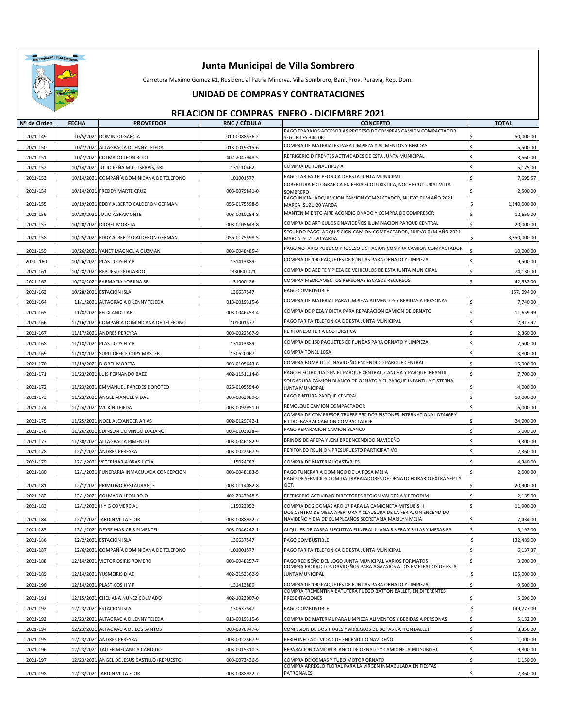

Carretera Maximo Gomez #1, Residencial Patria Minerva. Villa Sombrero, Bani, Prov. Peravia, Rep. Dom.

#### **UNIDAD DE COMPRAS Y CONTRATACIONES**

| Nº de Orden          | <b>FECHA</b>             | <b>PROVEEDOR</b>                                      | RNC / CÉDULA                   | <b>CONCEPTO</b>                                                                                                           | <b>TOTAL</b>                      |
|----------------------|--------------------------|-------------------------------------------------------|--------------------------------|---------------------------------------------------------------------------------------------------------------------------|-----------------------------------|
| 2021-149             |                          | 10/5/2021 DOMINGO GARCIA                              | 010-0088576-2                  | PAGO TRABAJOS ACCESORIAS PROCESO DE COMPRAS CAMION COMPACTADOR<br>SEGÚN LEY 340-06                                        | Ŝ.<br>50,000.00                   |
| 2021-150             | 10/7/2021                | ALTAGRACIA DILENNY TEJEDA                             | 013-0019315-6                  | COMPRA DE MATERIALES PARA LIMPIEZA Y ALIMENTOS Y BEBIDAS                                                                  | Ś<br>5,500.00                     |
| 2021-151             |                          | 10/7/2021 COLMADO LEON ROJO                           | 402-2047948-5                  | REFRIGERIO DIFRENTES ACTIVIDADES DE ESTA JUNTA MUNICIPAL                                                                  | Ś<br>3,560.00                     |
| 2021-152             | 10/14/2021               | JULIO PEÑA MULTISERVIS, SRL                           | 131110462                      | COMPRA DE TONAL HP17 A                                                                                                    | Ś<br>5,175.00                     |
| 2021-153             | 10/14/2021               | COMPAÑÍA DOMINICANA DE TELEFONO                       | 101001577                      | PAGO TARIFA TELEFONICA DE ESTA JUNTA MUNICIPAL                                                                            | Ś<br>7,695.57                     |
|                      |                          |                                                       |                                | COBERTURA FOTOGRAFICA EN FERIA ECOTURISTICA, NOCHE CULTURAL VILLA                                                         |                                   |
| 2021-154             |                          | 10/14/2021 FREDDY MARTE CRUZ                          | 003-0079841-0                  | SOMBRERO<br>PAGO INICIAL ADQUISICION CAMION COMPACTADOR, NUEVO 0KM AÑO 2021                                               | Ś<br>2,500.00                     |
| 2021-155             |                          | 10/19/2021 EDDY ALBERTO CALDERON GERMAN               | 056-0175598-5                  | MARCA ISUZU 20 YARDA                                                                                                      | Ś<br>1,340,000.00                 |
| 2021-156             |                          | 10/20/2021 JULIO AGRAMONTE                            | 003-0010254-8                  | MANTENIMIENTO AIRE ACONDICIONADO Y COMPRA DE COMPRESOR                                                                    | Ŝ.<br>12,650.00                   |
| 2021-157             | 10/20/2021               | <b>DIOBEL MORETA</b>                                  | 003-0105643-8                  | COMPRA DE ARTICULOS DNAVIDEÑOS ILUMINACION PARQUE CENTRAL                                                                 | Ś<br>20,000.00                    |
| 2021-158             |                          | 10/25/2021 EDDY ALBERTO CALDERON GERMAN               | 056-0175598-5                  | SEGUNDO PAGO ADQUISICION CAMION COMPACTADOR, NUEVO 0KM AÑO 2021<br>MARCA ISUZU 20 YARDA                                   | \$<br>3,350,000.00                |
| 2021-159             | 10/26/2021               | YANET MAGNOLIA GUZMAN                                 | 003-0048485-4                  | PAGO NOTARIO PUBLICO PROCESO LICITACION COMPRA CAMION COMPACTADOR                                                         | 10,000.00                         |
| 2021-160             |                          | 10/26/2021 PLASTICOS H Y P                            | 131413889                      | COMPRA DE 190 PAQUETES DE FUNDAS PARA ORNATO Y LIMPIEZA                                                                   | \$<br>9,500.00                    |
| 2021-161             | 10/28/2021               | REPUESTO EDUARDO                                      | 1330641021                     | COMPRA DE ACEITE Y PIEZA DE VEHICULOS DE ESTA JUNTA MUNICIPAL                                                             | Ś<br>74,130.00                    |
| 2021-162             | 10/28/2021               | <b>FARMACIA YORJINA SRL</b>                           | 131000126                      | COMPRA MEDICAMENTOS PERSONAS ESCASOS RECURSOS                                                                             | Ś<br>42,532.00                    |
| 2021-163             |                          | 10/28/2021 ESTACION ISLA                              | 130637547                      | PAGO COMBUSTIBLE                                                                                                          | 157, 094.00                       |
| 2021-164             | 11/1/2021                | ALTAGRACIA DILENNY TEJEDA                             | 013-0019315-6                  | COMPRA DE MATERIAL PARA LIMPIEZA ALIMENTOS Y BEBIDAS A PERSONAS                                                           | Ś<br>7,740.00                     |
| 2021-165             | 11/8/2021                | <b>FELIX ANDUJAR</b>                                  | 003-0046453-4                  | COMPRA DE PIEZA Y DIETA PARA REPARACION CAMION DE ORNATO                                                                  | \$<br>11,659.99                   |
| 2021-166             | 11/16/2021               | COMPAÑÍA DOMINICANA DE TELEFONO                       | 101001577                      | PAGO TARIFA TELEFONICA DE ESTA JUNTA MUNICIPAL                                                                            | Ś<br>7,917.92                     |
| 2021-167             | 11/17/2021               | <b>ANDRES PEREYRA</b>                                 | 003-0022567-9                  | PERIFONESO FERIA ECOTURSTICA                                                                                              | Ś<br>2,360.00                     |
| 2021-168             | 11/18/2021               | PLASTICOS H Y P                                       | 131413889                      | COMPRA DE 150 PAQUETES DE FUNDAS PARA ORNATO Y LIMPIEZA                                                                   | Ś<br>7,500.00                     |
| 2021-169             | 11/18/2021               | SUPLI OFFICE COPY MASTER                              | 130620067                      | COMPRA TONEL 105A                                                                                                         | Ś<br>3,800.00                     |
| 2021-170             | 11/19/2021               | <b>DIOBEL MORETA</b>                                  | 003-0105643-8                  | COMPRA BOMBILLITO NAVIDEÑO ENCENDIDO PARQUE CENTRAL                                                                       | Ś<br>15,000.00                    |
| 2021-171             |                          | 11/23/2021 LUIS FERNANDO BAEZ                         | 402-1151114-8                  | PAGO ELECTRICIDAD EN EL PARQUE CENTRAL, CANCHA Y PARQUE INFANTIL                                                          | Ś<br>7,700.00                     |
|                      |                          |                                                       |                                | SOLDADURA CAMION BLANCO DE ORNATO Y EL PARQUE INFANTIL Y CISTERNA                                                         |                                   |
| 2021-172<br>2021-173 |                          | 11/23/2021 EMMANUEL PAREDES DOROTEO                   | 026-0105554-0<br>003-0063989-5 | UNTA MUNICIPAL<br>PAGO PINTURA PARQUE CENTRAL                                                                             | 4,000.00<br>\$<br>\$<br>10,000.00 |
| 2021-174             | 11/24/2021               | 11/23/2021 ANGEL MANUEL VIDAL<br><b>WILKIN TEJEDA</b> | 003-0092951-0                  | REMOLQUE CAMION COMPACTADOR                                                                                               | Ś<br>6,000.00                     |
|                      |                          |                                                       |                                | COMPRA DE COMPRESOR TRUFRE 550 DOS PISTONES INTERNATIONAL DT466E Y                                                        |                                   |
| 2021-175             | 11/25/2021               | NOEL ALEXANDER ARIAS                                  | 002-0129742-1                  | ILTRO BA5374 CAMION COMPACTADOR<br>PAGO REPARACION CAMION BLANCO                                                          | Ś<br>24,000.00<br>Ś               |
| 2021-176             | 11/26/2021               | EDINSON DOMINGO LUCIANO                               | 003-0103028-4                  | BRINDIS DE AREPA Y JENJIBRE ENCENDIDO NAVIDEÑO                                                                            | 5,000.00                          |
| 2021-177             | 11/30/2021               | ALTAGRACIA PIMENTEL                                   | 003-0046182-9                  | PERIFONEO REUNION PRESUPUESTO PARTICIPATIVO                                                                               | Ś<br>9,300.00<br>Ś                |
| 2021-178             | 12/1/2021                | <b>ANDRES PEREYRA</b>                                 | 003-0022567-9                  |                                                                                                                           | 2,360.00                          |
| 2021-179             | 12/1/2021                | VETERINARIA BRASIL CXA                                | 115024782                      | COMPRA DE MATERIAL GASTABLES                                                                                              | Ś<br>4,340.00<br>\$               |
| 2021-180             | 12/1/2021                | FUNERARIA INMACULADA CONCEPCION                       | 003-0048183-5                  | PAGO FUNERARIA DOMINGO DE LA ROSA MEJIA<br>PAGO DE SERVICIOS COMIDA TRABAJADORES DE ORNATO HORARIO EXTRA SEPT Y           | 2,000.00                          |
| 2021-181             | 12/1/2021                | PRIMITIVO RESTAURANTE                                 | 003-0114082-8                  | OCT.                                                                                                                      | Ś<br>20,900.00                    |
| 2021-182             | 12/1/2021                | COLMADO LEON ROJO                                     | 402-2047948-5                  | REFRIGERIO ACTIVIDAD DIRECTORES REGION VALDESIA Y FEDODIM                                                                 | \$<br>2,135.00                    |
| 2021-183             |                          | 12/1/2021 H Y G COMERCIAL                             | 115023052                      | COMPRA DE 2 GOMAS ARO 17 PARA LA CAMIONETA MITSUBISHI<br>DOS CENTRO DE MESA APERTURA Y CLAUSURA DE LA FERIA, UN ENCENDIDO | Ś<br>11,900.00                    |
| 2021-184             |                          | 12/1/2021 JARDIN VILLA FLOR                           | 003-0088922-7                  | NAVIDEÑO Y DIA DE CUMPLEAÑOS SECRETARIA MARILYN MEJIA                                                                     | Ś<br>7,434.00                     |
| 2021-185             |                          | 12/1/2021 DEYSE MARICRIS PIMENTEL                     | 003-0046242-1                  | ALQUILER DE CARPA EJECUTIVA FUNERAL JUANA RIVERA Y SILLAS Y MESAS PP                                                      | \$<br>5,192.00                    |
| 2021-186             |                          | 12/2/2021 ESTACION ISLA                               | 130637547                      | PAGO COMBUSTIBLE                                                                                                          | \$<br>132,489.00                  |
| 2021-187             | 12/6/2021                | COMPAÑÍA DOMINICANA DE TELEFONO                       | 101001577                      | PAGO TARIFA TELEFONICA DE ESTA JUNTA MUNICIPAL                                                                            | \$<br>6,137.37                    |
| 2021-188             |                          | 12/14/2021 VICTOR OSIRIS ROMERO                       | 003-0048257-7                  | PAGO REDISEÑO DEL LOGO JUNTA MUNICIPAL VARIOS FORMATOS                                                                    | \$<br>3,000.00                    |
| 2021-189             |                          | 12/14/2021 YUSMEIRIS DIAZ                             | 402-2153362-9                  | COMPRA PRODUCTOS DAVIDEÑOS PARA AGAZAJOS A LOS EMPLEADOS DE ESTA<br>JUNTA MUNICIPAL                                       | \$<br>105,000.00                  |
| 2021-190             | 12/14/2021               | PLASTICOS H Y P                                       | 131413889                      | COMPRA DE 190 PAQUETES DE FUNDAS PARA ORNATO Y LIMPIEZA                                                                   | \$<br>9,500.00                    |
| 2021-191             |                          | 12/15/2021 CHELIANA NUÑEZ COLMADO                     | 402-1023007-0                  | COMPRA TREMENTINA BATUTERA FUEGO BATTON BALLET, EN DIFERENTES<br>PRESENTACIONES                                           |                                   |
| 2021-192             |                          | 12/23/2021 ESTACION ISLA                              | 130637547                      | PAGO COMBUSTIBLE                                                                                                          | \$<br>5,696.00<br>Ś<br>149,777.00 |
| 2021-193             |                          |                                                       | 013-0019315-6                  |                                                                                                                           | \$<br>5,152.00                    |
|                      |                          | 12/23/2021 ALTAGRACIA DILENNY TEJEDA                  |                                | COMPRA DE MATERIAL PARA LIMPIEZA ALIMENTOS Y BEBIDAS A PERSONAS                                                           | \$<br>8,350.00                    |
| 2021-194<br>2021-195 |                          | 12/23/2021 ALTAGRACIA DE LOS SANTOS<br>ANDRES PEREYRA | 003-0078947-6<br>003-0022567-9 | CONFESION DE DOS TRAJES Y ARREGLOS DE BOTAS BATTON BALLET<br>PERIFONEO ACTIVIDAD DE ENCENDIDO NAVIDEÑO                    | \$<br>1,000.00                    |
| 2021-196             | 12/23/2021<br>12/23/2021 | TALLER MECANICA CANDIDO                               | 003-0015310-3                  | REPARACION CAMION BLANCO DE ORNATO Y CAMIONETA MITSUBISHI                                                                 | \$<br>9,800.00                    |
| 2021-197             | 12/23/2021               | ANGEL DE JESUS CASTILLO (REPUESTO)                    | 003-0073436-5                  | COMPRA DE GOMAS Y TUBO MOTOR ORNATO                                                                                       | Ś<br>1,150.00                     |
|                      |                          |                                                       |                                | COMPRA ARREGLO FLORAL PARA LA VIRGEN INMACULADA EN FIESTAS                                                                |                                   |
| 2021-198             |                          | 12/23/2021 JARDIN VILLA FLOR                          | 003-0088922-7                  | PATRONALES                                                                                                                | Ś<br>2,360.00                     |